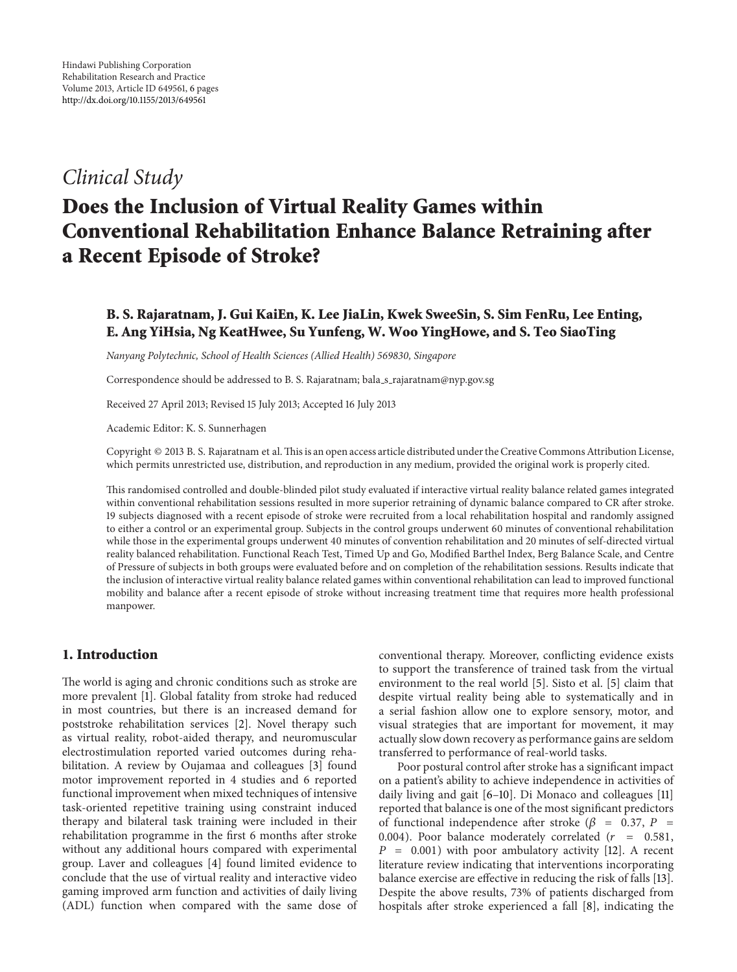## *Clinical Study*

# **Does the Inclusion of Virtual Reality Games within Conventional Rehabilitation Enhance Balance Retraining after a Recent Episode of Stroke?**

## **B. S. Rajaratnam, J. Gui KaiEn, K. Lee JiaLin, Kwek SweeSin, S. Sim FenRu, Lee Enting, E. Ang YiHsia, Ng KeatHwee, Su Yunfeng, W. Woo YingHowe, and S. Teo SiaoTing**

*Nanyang Polytechnic, School of Health Sciences (Allied Health) 569830, Singapore*

Correspondence should be addressed to B. S. Rajaratnam; bala\_s\_rajaratnam@nyp.gov.sg

Received 27 April 2013; Revised 15 July 2013; Accepted 16 July 2013

Academic Editor: K. S. Sunnerhagen

Copyright © 2013 B. S. Rajaratnam et al.This is an open access article distributed under the Creative Commons Attribution License, which permits unrestricted use, distribution, and reproduction in any medium, provided the original work is properly cited.

This randomised controlled and double-blinded pilot study evaluated if interactive virtual reality balance related games integrated within conventional rehabilitation sessions resulted in more superior retraining of dynamic balance compared to CR after stroke. 19 subjects diagnosed with a recent episode of stroke were recruited from a local rehabilitation hospital and randomly assigned to either a control or an experimental group. Subjects in the control groups underwent 60 minutes of conventional rehabilitation while those in the experimental groups underwent 40 minutes of convention rehabilitation and 20 minutes of self-directed virtual reality balanced rehabilitation. Functional Reach Test, Timed Up and Go, Modified Barthel Index, Berg Balance Scale, and Centre of Pressure of subjects in both groups were evaluated before and on completion of the rehabilitation sessions. Results indicate that the inclusion of interactive virtual reality balance related games within conventional rehabilitation can lead to improved functional mobility and balance after a recent episode of stroke without increasing treatment time that requires more health professional manpower.

## **1. Introduction**

The world is aging and chronic conditions such as stroke are more prevalent [\[1](#page-4-1)]. Global fatality from stroke had reduced in most countries, but there is an increased demand for poststroke rehabilitation services [\[2](#page-4-2)]. Novel therapy such as virtual reality, robot-aided therapy, and neuromuscular electrostimulation reported varied outcomes during rehabilitation. A review by Oujamaa and colleagues [\[3](#page-4-3)] found motor improvement reported in 4 studies and 6 reported functional improvement when mixed techniques of intensive task-oriented repetitive training using constraint induced therapy and bilateral task training were included in their rehabilitation programme in the first 6 months after stroke without any additional hours compared with experimental group. Laver and colleagues [\[4](#page-4-4)] found limited evidence to conclude that the use of virtual reality and interactive video gaming improved arm function and activities of daily living (ADL) function when compared with the same dose of

conventional therapy. Moreover, conflicting evidence exists to support the transference of trained task from the virtual environment to the real world [\[5](#page-4-5)]. Sisto et al. [\[5\]](#page-4-5) claim that despite virtual reality being able to systematically and in a serial fashion allow one to explore sensory, motor, and visual strategies that are important for movement, it may actually slow down recovery as performance gains are seldom transferred to performance of real-world tasks.

Poor postural control after stroke has a significant impact on a patient's ability to achieve independence in activities of daily living and gait [\[6](#page-4-6)[–10\]](#page-4-7). Di Monaco and colleagues [\[11](#page-4-8)] reported that balance is one of the most significant predictors of functional independence after stroke ( $\beta$  = 0.37, P = 0.004). Poor balance moderately correlated  $(r = 0.581,$  $P = 0.001$ ) with poor ambulatory activity [\[12](#page-5-0)]. A recent literature review indicating that interventions incorporating balance exercise are effective in reducing the risk of falls [\[13](#page-5-1)]. Despite the above results, 73% of patients discharged from hospitals after stroke experienced a fall [\[8\]](#page-4-9), indicating the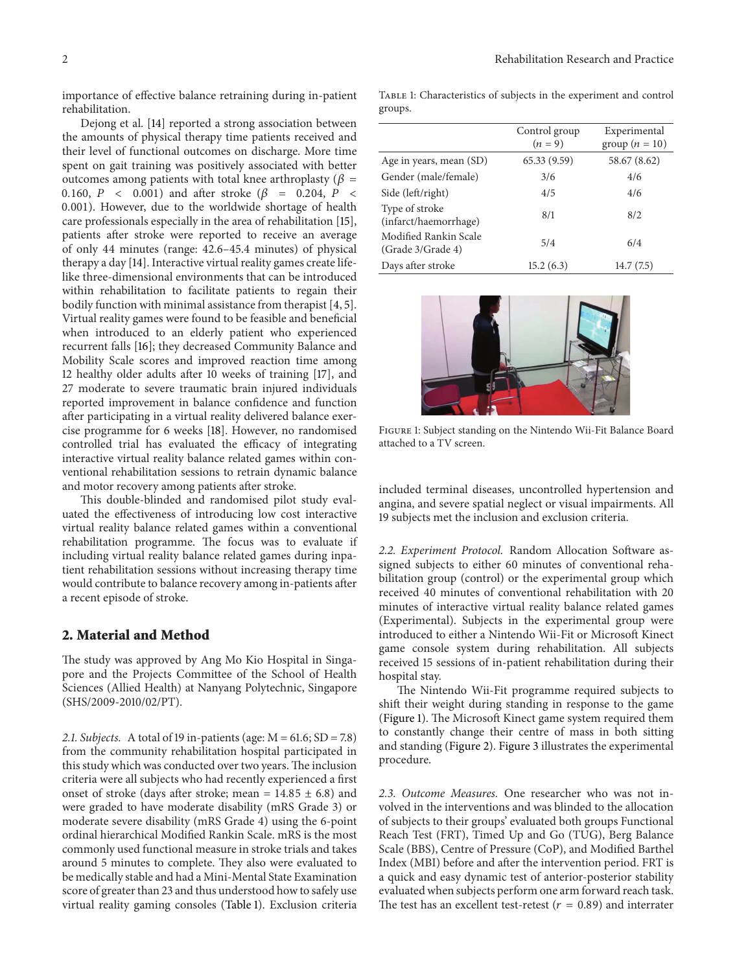importance of effective balance retraining during in-patient rehabilitation.

Dejong et al. [\[14](#page-5-2)] reported a strong association between the amounts of physical therapy time patients received and their level of functional outcomes on discharge. More time spent on gait training was positively associated with better outcomes among patients with total knee arthroplasty ( $\beta$  = 0.160,  $P \le 0.001$  and after stroke ( $\beta = 0.204$ ,  $P \le 0.204$ 0.001). However, due to the worldwide shortage of health care professionals especially in the area of rehabilitation [\[15\]](#page-5-3), patients after stroke were reported to receive an average of only 44 minutes (range: 42.6–45.4 minutes) of physical therapy a day [\[14](#page-5-2)]. Interactive virtual reality games create lifelike three-dimensional environments that can be introduced within rehabilitation to facilitate patients to regain their bodily function with minimal assistance from therapist [\[4](#page-4-4), [5\]](#page-4-5). Virtual reality games were found to be feasible and beneficial when introduced to an elderly patient who experienced recurrent falls [\[16\]](#page-5-4); they decreased Community Balance and Mobility Scale scores and improved reaction time among 12 healthy older adults after 10 weeks of training [\[17](#page-5-5)], and 27 moderate to severe traumatic brain injured individuals reported improvement in balance confidence and function after participating in a virtual reality delivered balance exercise programme for 6 weeks [\[18\]](#page-5-6). However, no randomised controlled trial has evaluated the efficacy of integrating interactive virtual reality balance related games within conventional rehabilitation sessions to retrain dynamic balance and motor recovery among patients after stroke.

This double-blinded and randomised pilot study evaluated the effectiveness of introducing low cost interactive virtual reality balance related games within a conventional rehabilitation programme. The focus was to evaluate if including virtual reality balance related games during inpatient rehabilitation sessions without increasing therapy time would contribute to balance recovery among in-patients after a recent episode of stroke.

#### **2. Material and Method**

The study was approved by Ang Mo Kio Hospital in Singapore and the Projects Committee of the School of Health Sciences (Allied Health) at Nanyang Polytechnic, Singapore (SHS/2009-2010/02/PT).

*2.1. Subjects.* A total of 19 in-patients (age: M = 61.6; SD = 7.8) from the community rehabilitation hospital participated in this study which was conducted over two years. The inclusion criteria were all subjects who had recently experienced a first onset of stroke (days after stroke; mean =  $14.85 \pm 6.8$ ) and were graded to have moderate disability (mRS Grade 3) or moderate severe disability (mRS Grade 4) using the 6-point ordinal hierarchical Modified Rankin Scale. mRS is the most commonly used functional measure in stroke trials and takes around 5 minutes to complete. They also were evaluated to be medically stable and had a Mini-Mental State Examination score of greater than 23 and thus understood how to safely use virtual reality gaming consoles [\(Table 1\)](#page-1-0). Exclusion criteria

<span id="page-1-0"></span>Table 1: Characteristics of subjects in the experiment and control groups.

|                                            | Control group<br>$(n = 9)$ | Experimental<br>group $(n = 10)$ |
|--------------------------------------------|----------------------------|----------------------------------|
| Age in years, mean (SD)                    | 65.33(9.59)                | 58.67 (8.62)                     |
| Gender (male/female)                       | 3/6                        | 4/6                              |
| Side (left/right)                          | 4/5                        | 4/6                              |
| Type of stroke<br>(infarct/haemorrhage)    | 8/1                        | 8/2                              |
| Modified Rankin Scale<br>(Grade 3/Grade 4) | 5/4                        | 6/4                              |
| Days after stroke                          | 15.2(6.3)                  | 14.7(7.5)                        |



Figure 1: Subject standing on the Nintendo Wii-Fit Balance Board attached to a TV screen.

<span id="page-1-1"></span>included terminal diseases, uncontrolled hypertension and angina, and severe spatial neglect or visual impairments. All 19 subjects met the inclusion and exclusion criteria.

*2.2. Experiment Protocol.* Random Allocation Software assigned subjects to either 60 minutes of conventional rehabilitation group (control) or the experimental group which received 40 minutes of conventional rehabilitation with 20 minutes of interactive virtual reality balance related games (Experimental). Subjects in the experimental group were introduced to either a Nintendo Wii-Fit or Microsoft Kinect game console system during rehabilitation. All subjects received 15 sessions of in-patient rehabilitation during their hospital stay.

The Nintendo Wii-Fit programme required subjects to shift their weight during standing in response to the game [\(Figure 1\)](#page-1-1). The Microsoft Kinect game system required them to constantly change their centre of mass in both sitting and standing [\(Figure 2\)](#page-2-0). [Figure 3](#page-3-0) illustrates the experimental procedure.

*2.3. Outcome Measures.* One researcher who was not involved in the interventions and was blinded to the allocation of subjects to their groups' evaluated both groups Functional Reach Test (FRT), Timed Up and Go (TUG), Berg Balance Scale (BBS), Centre of Pressure (CoP), and Modified Barthel Index (MBI) before and after the intervention period. FRT is a quick and easy dynamic test of anterior-posterior stability evaluated when subjects perform one arm forward reach task. The test has an excellent test-retest ( $r = 0.89$ ) and interrater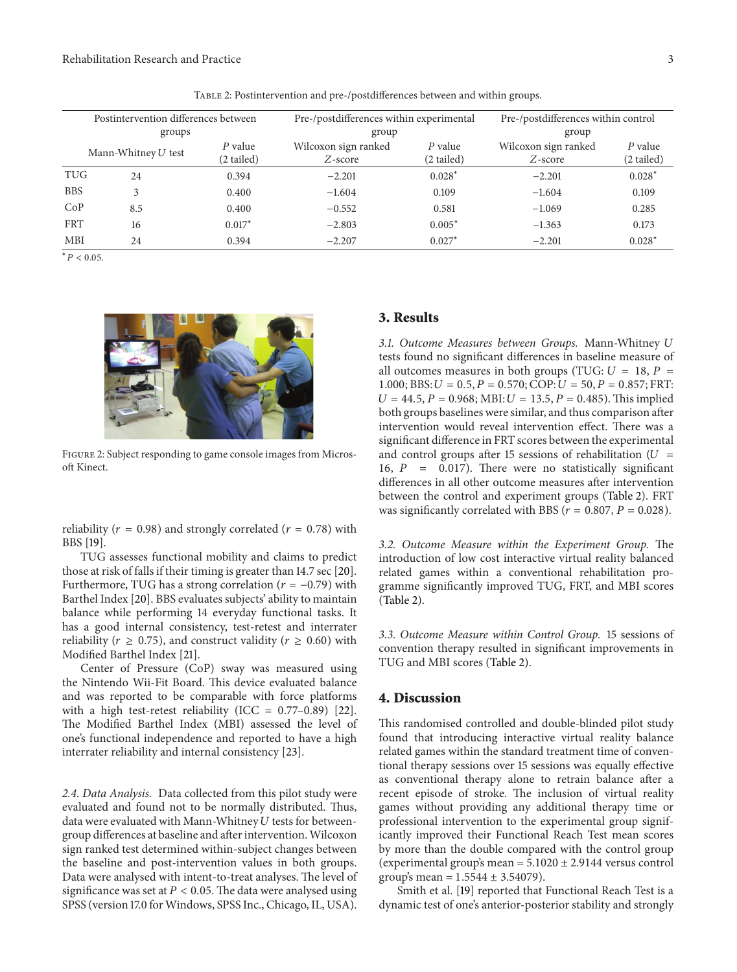| Postintervention differences between |            | Pre-/postdifferences within experimental |                      | Pre-/postdifferences within control |                      |          |
|--------------------------------------|------------|------------------------------------------|----------------------|-------------------------------------|----------------------|----------|
| groups                               |            | group                                    |                      | group                               |                      |          |
|                                      |            | P value                                  | Wilcoxon sign ranked | P value                             | Wilcoxon sign ranked | P value  |
| Mann-Whitney $U$ test                | (2 tailed) | $Z$ -score                               | (2 tailed)           | $Z$ -score                          | (2 tailed)           |          |
| TUG                                  | 24         | 0.394                                    | $-2.201$             | $0.028*$                            | $-2.201$             | $0.028*$ |
| <b>BBS</b>                           |            | 0.400                                    | $-1.604$             | 0.109                               | $-1.604$             | 0.109    |
| CoP                                  | 8.5        | 0.400                                    | $-0.552$             | 0.581                               | $-1.069$             | 0.285    |
| <b>FRT</b>                           | 16         | $0.017*$                                 | $-2.803$             | $0.005*$                            | $-1.363$             | 0.173    |
| MBI                                  | 24         | 0.394                                    | $-2.207$             | $0.027*$                            | $-2.201$             | $0.028*$ |

<span id="page-2-1"></span>Table 2: Postintervention and pre-/postdifferences between and within groups.

 $* P < 0.05$ .



Figure 2: Subject responding to game console images from Microsoft Kinect.

<span id="page-2-0"></span>reliability ( $r = 0.98$ ) and strongly correlated ( $r = 0.78$ ) with BBS [\[19\]](#page-5-7).

TUG assesses functional mobility and claims to predict those at risk of falls if their timing is greater than 14.7 sec [\[20\]](#page-5-8). Furthermore, TUG has a strong correlation ( $r = -0.79$ ) with Barthel Index [\[20](#page-5-8)]. BBS evaluates subjects' ability to maintain balance while performing 14 everyday functional tasks. It has a good internal consistency, test-retest and interrater reliability ( $r \geq 0.75$ ), and construct validity ( $r \geq 0.60$ ) with Modified Barthel Index [\[21](#page-5-9)].

Center of Pressure (CoP) sway was measured using the Nintendo Wii-Fit Board. This device evaluated balance and was reported to be comparable with force platforms with a high test-retest reliability (ICC =  $0.77-0.89$ ) [\[22\]](#page-5-10). The Modified Barthel Index (MBI) assessed the level of one's functional independence and reported to have a high interrater reliability and internal consistency [\[23](#page-5-11)].

*2.4. Data Analysis.* Data collected from this pilot study were evaluated and found not to be normally distributed. Thus, data were evaluated with Mann-Whitney  $U$  tests for betweengroup differences at baseline and after intervention.Wilcoxon sign ranked test determined within-subject changes between the baseline and post-intervention values in both groups. Data were analysed with intent-to-treat analyses. The level of significance was set at  $P < 0.05$ . The data were analysed using SPSS (version 17.0 for Windows, SPSS Inc., Chicago, IL, USA).

### **3. Results**

*3.1. Outcome Measures between Groups.* Mann-Whitney tests found no significant differences in baseline measure of all outcomes measures in both groups (TUG:  $U = 18$ ,  $P =$ 1.000; BBS:  $U = 0.5$ ,  $P = 0.570$ ; COP:  $U = 50$ ,  $P = 0.857$ ; FRT:  $U = 44.5, P = 0.968; MBI: U = 13.5, P = 0.485$ . This implied both groups baselines were similar, and thus comparison after intervention would reveal intervention effect. There was a significant difference in FRT scores between the experimental and control groups after 15 sessions of rehabilitation ( $U =$ 16,  $P = 0.017$ ). There were no statistically significant differences in all other outcome measures after intervention between the control and experiment groups [\(Table 2\)](#page-2-1). FRT was significantly correlated with BBS ( $r = 0.807$ ,  $P = 0.028$ ).

*3.2. Outcome Measure within the Experiment Group.* The introduction of low cost interactive virtual reality balanced related games within a conventional rehabilitation programme significantly improved TUG, FRT, and MBI scores [\(Table 2\)](#page-2-1).

*3.3. Outcome Measure within Control Group.* 15 sessions of convention therapy resulted in significant improvements in TUG and MBI scores [\(Table 2\)](#page-2-1).

#### **4. Discussion**

This randomised controlled and double-blinded pilot study found that introducing interactive virtual reality balance related games within the standard treatment time of conventional therapy sessions over 15 sessions was equally effective as conventional therapy alone to retrain balance after a recent episode of stroke. The inclusion of virtual reality games without providing any additional therapy time or professional intervention to the experimental group significantly improved their Functional Reach Test mean scores by more than the double compared with the control group (experimental group's mean =  $5.1020 \pm 2.9144$  versus control group's mean =  $1.5544 \pm 3.54079$ ).

Smith et al. [\[19](#page-5-7)] reported that Functional Reach Test is a dynamic test of one's anterior-posterior stability and strongly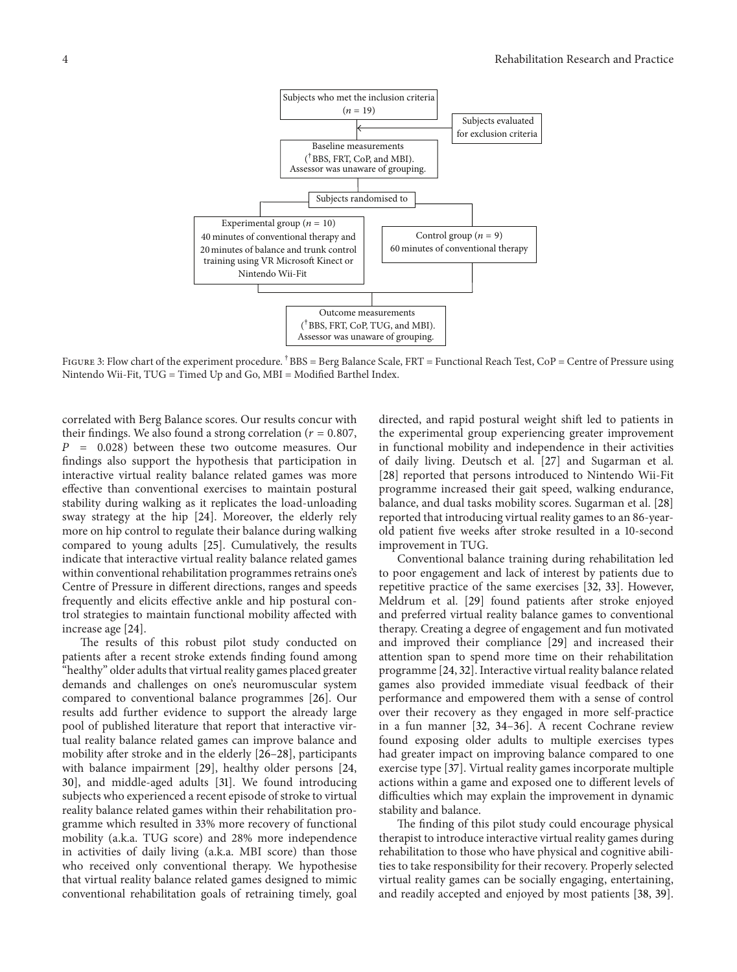

<span id="page-3-0"></span>FIGURE 3: Flow chart of the experiment procedure. <sup>†</sup>BBS = Berg Balance Scale, FRT = Functional Reach Test, CoP = Centre of Pressure using Nintendo Wii-Fit, TUG = Timed Up and Go, MBI = Modified Barthel Index.

correlated with Berg Balance scores. Our results concur with their findings. We also found a strong correlation ( $r = 0.807$ ,  $P = 0.028$ ) between these two outcome measures. Our findings also support the hypothesis that participation in interactive virtual reality balance related games was more effective than conventional exercises to maintain postural stability during walking as it replicates the load-unloading sway strategy at the hip [\[24\]](#page-5-12). Moreover, the elderly rely more on hip control to regulate their balance during walking compared to young adults [\[25](#page-5-13)]. Cumulatively, the results indicate that interactive virtual reality balance related games within conventional rehabilitation programmes retrains one's Centre of Pressure in different directions, ranges and speeds frequently and elicits effective ankle and hip postural control strategies to maintain functional mobility affected with increase age [\[24\]](#page-5-12).

The results of this robust pilot study conducted on patients after a recent stroke extends finding found among "healthy" older adults that virtual reality games placed greater demands and challenges on one's neuromuscular system compared to conventional balance programmes [\[26](#page-5-14)]. Our results add further evidence to support the already large pool of published literature that report that interactive virtual reality balance related games can improve balance and mobility after stroke and in the elderly [\[26](#page-5-14)[–28\]](#page-5-15), participants with balance impairment [\[29\]](#page-5-16), healthy older persons [\[24](#page-5-12), [30](#page-5-17)], and middle-aged adults [\[31](#page-5-18)]. We found introducing subjects who experienced a recent episode of stroke to virtual reality balance related games within their rehabilitation programme which resulted in 33% more recovery of functional mobility (a.k.a. TUG score) and 28% more independence in activities of daily living (a.k.a. MBI score) than those who received only conventional therapy. We hypothesise that virtual reality balance related games designed to mimic conventional rehabilitation goals of retraining timely, goal directed, and rapid postural weight shift led to patients in the experimental group experiencing greater improvement in functional mobility and independence in their activities of daily living. Deutsch et al. [\[27](#page-5-19)] and Sugarman et al. [\[28](#page-5-15)] reported that persons introduced to Nintendo Wii-Fit programme increased their gait speed, walking endurance, balance, and dual tasks mobility scores. Sugarman et al. [\[28](#page-5-15)] reported that introducing virtual reality games to an 86-yearold patient five weeks after stroke resulted in a 10-second improvement in TUG.

Conventional balance training during rehabilitation led to poor engagement and lack of interest by patients due to repetitive practice of the same exercises [\[32](#page-5-20), [33\]](#page-5-21). However, Meldrum et al. [\[29](#page-5-16)] found patients after stroke enjoyed and preferred virtual reality balance games to conventional therapy. Creating a degree of engagement and fun motivated and improved their compliance [\[29\]](#page-5-16) and increased their attention span to spend more time on their rehabilitation programme [\[24](#page-5-12), [32](#page-5-20)]. Interactive virtual reality balance related games also provided immediate visual feedback of their performance and empowered them with a sense of control over their recovery as they engaged in more self-practice in a fun manner [\[32,](#page-5-20) [34](#page-5-22)[–36\]](#page-5-23). A recent Cochrane review found exposing older adults to multiple exercises types had greater impact on improving balance compared to one exercise type [\[37](#page-5-24)]. Virtual reality games incorporate multiple actions within a game and exposed one to different levels of difficulties which may explain the improvement in dynamic stability and balance.

The finding of this pilot study could encourage physical therapist to introduce interactive virtual reality games during rehabilitation to those who have physical and cognitive abilities to take responsibility for their recovery. Properly selected virtual reality games can be socially engaging, entertaining, and readily accepted and enjoyed by most patients [\[38,](#page-5-25) [39](#page-5-26)].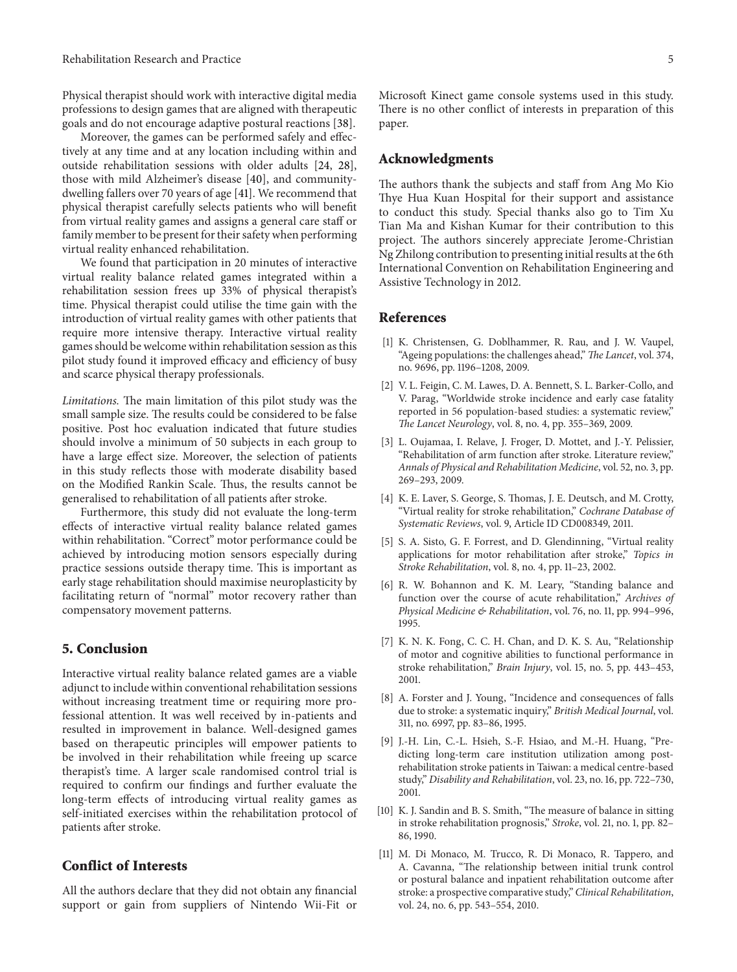Physical therapist should work with interactive digital media professions to design games that are aligned with therapeutic goals and do not encourage adaptive postural reactions [\[38\]](#page-5-25).

Moreover, the games can be performed safely and effectively at any time and at any location including within and outside rehabilitation sessions with older adults [\[24,](#page-5-12) [28\]](#page-5-15), those with mild Alzheimer's disease [\[40\]](#page-5-27), and communitydwelling fallers over 70 years of age [\[41](#page-5-28)]. We recommend that physical therapist carefully selects patients who will benefit from virtual reality games and assigns a general care staff or family member to be present for their safety when performing virtual reality enhanced rehabilitation.

We found that participation in 20 minutes of interactive virtual reality balance related games integrated within a rehabilitation session frees up 33% of physical therapist's time. Physical therapist could utilise the time gain with the introduction of virtual reality games with other patients that require more intensive therapy. Interactive virtual reality games should be welcome within rehabilitation session as this pilot study found it improved efficacy and efficiency of busy and scarce physical therapy professionals.

*Limitations.* The main limitation of this pilot study was the small sample size. The results could be considered to be false positive. Post hoc evaluation indicated that future studies should involve a minimum of 50 subjects in each group to have a large effect size. Moreover, the selection of patients in this study reflects those with moderate disability based on the Modified Rankin Scale. Thus, the results cannot be generalised to rehabilitation of all patients after stroke.

Furthermore, this study did not evaluate the long-term effects of interactive virtual reality balance related games within rehabilitation. "Correct" motor performance could be achieved by introducing motion sensors especially during practice sessions outside therapy time. This is important as early stage rehabilitation should maximise neuroplasticity by facilitating return of "normal" motor recovery rather than compensatory movement patterns.

## **5. Conclusion**

Interactive virtual reality balance related games are a viable adjunct to include within conventional rehabilitation sessions without increasing treatment time or requiring more professional attention. It was well received by in-patients and resulted in improvement in balance. Well-designed games based on therapeutic principles will empower patients to be involved in their rehabilitation while freeing up scarce therapist's time. A larger scale randomised control trial is required to confirm our findings and further evaluate the long-term effects of introducing virtual reality games as self-initiated exercises within the rehabilitation protocol of patients after stroke.

## **Conflict of Interests**

All the authors declare that they did not obtain any financial support or gain from suppliers of Nintendo Wii-Fit or Microsoft Kinect game console systems used in this study. There is no other conflict of interests in preparation of this paper.

#### **Acknowledgments**

The authors thank the subjects and staff from Ang Mo Kio Thye Hua Kuan Hospital for their support and assistance to conduct this study. Special thanks also go to Tim Xu Tian Ma and Kishan Kumar for their contribution to this project. The authors sincerely appreciate Jerome-Christian Ng Zhilong contribution to presenting initial results at the 6th International Convention on Rehabilitation Engineering and Assistive Technology in 2012.

#### <span id="page-4-0"></span>**References**

- <span id="page-4-1"></span>[1] K. Christensen, G. Doblhammer, R. Rau, and J. W. Vaupel, "Ageing populations: the challenges ahead," *The Lancet*, vol. 374, no. 9696, pp. 1196–1208, 2009.
- <span id="page-4-2"></span>[2] V. L. Feigin, C. M. Lawes, D. A. Bennett, S. L. Barker-Collo, and V. Parag, "Worldwide stroke incidence and early case fatality reported in 56 population-based studies: a systematic review," *The Lancet Neurology*, vol. 8, no. 4, pp. 355–369, 2009.
- <span id="page-4-3"></span>[3] L. Oujamaa, I. Relave, J. Froger, D. Mottet, and J.-Y. Pelissier, "Rehabilitation of arm function after stroke. Literature review," *Annals of Physical and Rehabilitation Medicine*, vol. 52, no. 3, pp. 269–293, 2009.
- <span id="page-4-4"></span>[4] K. E. Laver, S. George, S. Thomas, J. E. Deutsch, and M. Crotty, "Virtual reality for stroke rehabilitation," *Cochrane Database of Systematic Reviews*, vol. 9, Article ID CD008349, 2011.
- <span id="page-4-5"></span>[5] S. A. Sisto, G. F. Forrest, and D. Glendinning, "Virtual reality applications for motor rehabilitation after stroke," *Topics in Stroke Rehabilitation*, vol. 8, no. 4, pp. 11–23, 2002.
- <span id="page-4-6"></span>[6] R. W. Bohannon and K. M. Leary, "Standing balance and function over the course of acute rehabilitation," *Archives of Physical Medicine & Rehabilitation*, vol. 76, no. 11, pp. 994–996, 1995.
- [7] K. N. K. Fong, C. C. H. Chan, and D. K. S. Au, "Relationship of motor and cognitive abilities to functional performance in stroke rehabilitation," *Brain Injury*, vol. 15, no. 5, pp. 443–453, 2001.
- <span id="page-4-9"></span>[8] A. Forster and J. Young, "Incidence and consequences of falls due to stroke: a systematic inquiry," *British Medical Journal*, vol. 311, no. 6997, pp. 83–86, 1995.
- [9] J.-H. Lin, C.-L. Hsieh, S.-F. Hsiao, and M.-H. Huang, "Predicting long-term care institution utilization among postrehabilitation stroke patients in Taiwan: a medical centre-based study," *Disability and Rehabilitation*, vol. 23, no. 16, pp. 722–730, 2001.
- <span id="page-4-7"></span>[10] K. J. Sandin and B. S. Smith, "The measure of balance in sitting in stroke rehabilitation prognosis," *Stroke*, vol. 21, no. 1, pp. 82– 86, 1990.
- <span id="page-4-8"></span>[11] M. Di Monaco, M. Trucco, R. Di Monaco, R. Tappero, and A. Cavanna, "The relationship between initial trunk control or postural balance and inpatient rehabilitation outcome after stroke: a prospective comparative study," *Clinical Rehabilitation*, vol. 24, no. 6, pp. 543–554, 2010.